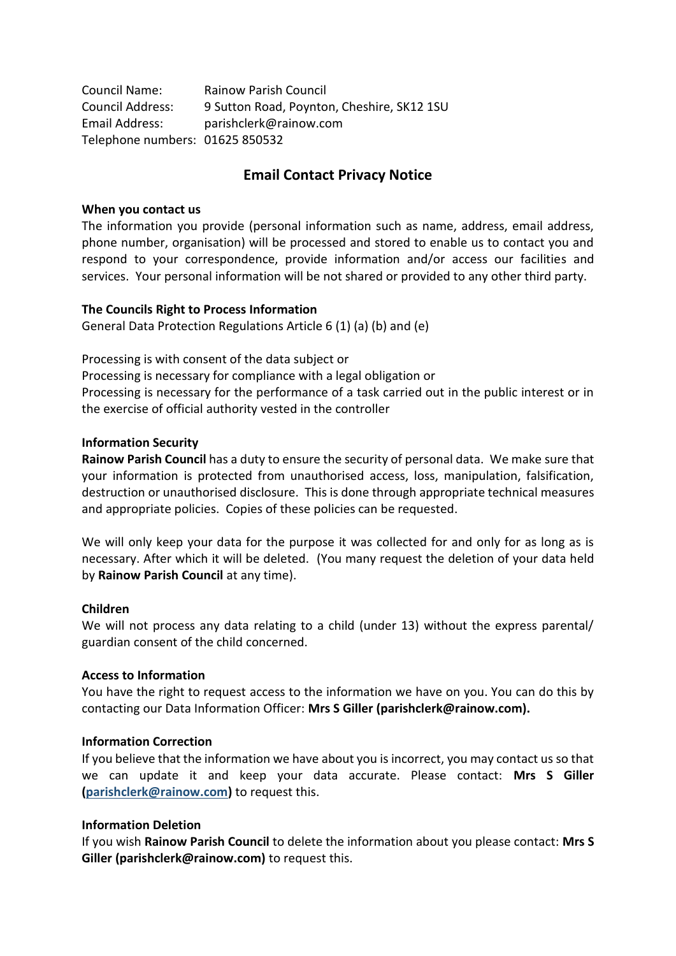| Council Name:                   | <b>Rainow Parish Council</b>               |
|---------------------------------|--------------------------------------------|
| <b>Council Address:</b>         | 9 Sutton Road, Poynton, Cheshire, SK12 1SU |
| Email Address:                  | parishclerk@rainow.com                     |
| Telephone numbers: 01625 850532 |                                            |

# **Email Contact Privacy Notice**

### **When you contact us**

The information you provide (personal information such as name, address, email address, phone number, organisation) will be processed and stored to enable us to contact you and respond to your correspondence, provide information and/or access our facilities and services. Your personal information will be not shared or provided to any other third party.

### **The Councils Right to Process Information**

General Data Protection Regulations Article 6 (1) (a) (b) and (e)

Processing is with consent of the data subject or

Processing is necessary for compliance with a legal obligation or

Processing is necessary for the performance of a task carried out in the public interest or in the exercise of official authority vested in the controller

### **Information Security**

**Rainow Parish Council** has a duty to ensure the security of personal data. We make sure that your information is protected from unauthorised access, loss, manipulation, falsification, destruction or unauthorised disclosure. This is done through appropriate technical measures and appropriate policies. Copies of these policies can be requested.

We will only keep your data for the purpose it was collected for and only for as long as is necessary. After which it will be deleted. (You many request the deletion of your data held by **Rainow Parish Council** at any time).

#### **Children**

We will not process any data relating to a child (under 13) without the express parental/ guardian consent of the child concerned.

## **Access to Information**

You have the right to request access to the information we have on you. You can do this by contacting our Data Information Officer: **Mrs S Giller (parishclerk@rainow.com).**

#### **Information Correction**

If you believe that the information we have about you is incorrect, you may contact us so that we can update it and keep your data accurate. Please contact: **Mrs S Giller [\(parishclerk@rainow.com\)](mailto:parishclerk@rainow.com)** to request this.

#### **Information Deletion**

If you wish **Rainow Parish Council** to delete the information about you please contact: **Mrs S Giller (parishclerk@rainow.com)** to request this.